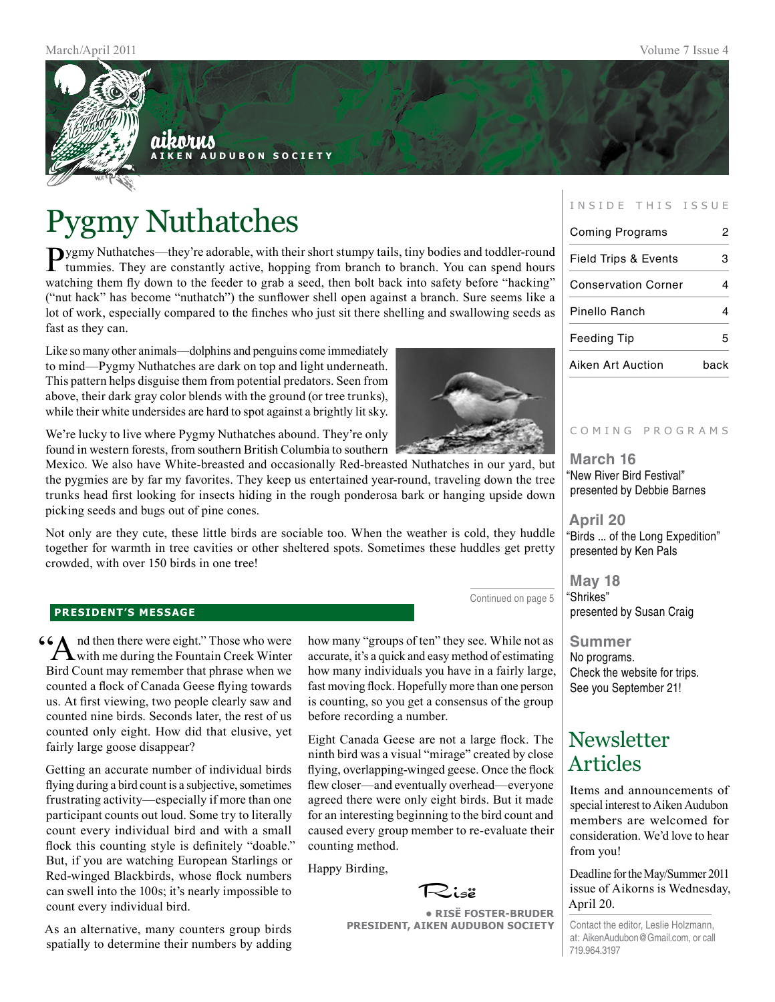

# Pygmy Nuthatches

Pygmy Nuthatches—they're adorable, with their short stumpy tails, tiny bodies and toddler-round tummies. They are constantly active, hopping from branch to branch. You can spend hours watching them fly down to the feeder to grab a seed, then bolt back into safety before "hacking" ("nut hack" has become "nuthatch") the sunflower shell open against a branch. Sure seems like a lot of work, especially compared to the finches who just sit there shelling and swallowing seeds as fast as they can.

Like so many other animals—dolphins and penguins come immediately to mind—Pygmy Nuthatches are dark on top and light underneath. This pattern helps disguise them from potential predators. Seen from above, their dark gray color blends with the ground (or tree trunks), while their white undersides are hard to spot against a brightly lit sky.

We're lucky to live where Pygmy Nuthatches abound. They're only found in western forests, from southern British Columbia to southern

Mexico. We also have White-breasted and occasionally Red-breasted Nuthatches in our yard, but the pygmies are by far my favorites. They keep us entertained year-round, traveling down the tree trunks head first looking for insects hiding in the rough ponderosa bark or hanging upside down picking seeds and bugs out of pine cones.

Not only are they cute, these little birds are sociable too. When the weather is cold, they huddle together for warmth in tree cavities or other sheltered spots. Sometimes these huddles get pretty crowded, with over 150 birds in one tree!

#### **president's message**

66 And then there were eight." Those who were with me during the Fountain Creek Winter Bird Count may remember that phrase when we counted a flock of Canada Geese flying towards us. At first viewing, two people clearly saw and counted nine birds. Seconds later, the rest of us counted only eight. How did that elusive, yet fairly large goose disappear?

Getting an accurate number of individual birds flying during a bird count is a subjective, sometimes frustrating activity—especially if more than one participant counts out loud. Some try to literally count every individual bird and with a small flock this counting style is definitely "doable." But, if you are watching European Starlings or Red-winged Blackbirds, whose flock numbers can swell into the 100s; it's nearly impossible to count every individual bird.

As an alternative, many counters group birds spatially to determine their numbers by adding

how many "groups of ten" they see. While not as accurate, it's a quick and easy method of estimating how many individuals you have in a fairly large, fast moving flock. Hopefully more than one person is counting, so you get a consensus of the group before recording a number.

Eight Canada Geese are not a large flock. The ninth bird was a visual "mirage" created by close flying, overlapping-winged geese. Once the flock flew closer—and eventually overhead—everyone agreed there were only eight birds. But it made for an interesting beginning to the bird count and caused every group member to re-evaluate their counting method.

Happy Birding,



**• RisË Foster-Bruder President, Aiken Audubon Society**

#### INSIDE THIS ISSUE

| Coming Programs                 |      |
|---------------------------------|------|
| <b>Field Trips &amp; Events</b> | з    |
| <b>Conservation Corner</b>      |      |
| Pinello Ranch                   |      |
| Feeding Tip                     | 5    |
| Aiken Art Auction               | hack |

#### C o m i n g p r o g r a m s

**March 16** "New River Bird Festival" presented by Debbie Barnes

**April 20** "Birds ... of the Long Expedition" presented by Ken Pals

**May 18** "Shrikes" presented by Susan Craig

**Summer** No programs. Check the website for trips. See you September 21!

### **Newsletter** Articles

Items and announcements of special interest to Aiken Audubon members are welcomed for consideration. We'd love to hear from you!

Deadline for the May/Summer 2011 issue of Aikorns is Wednesday, April 20.

Contact the editor, Leslie Holzmann, at: AikenAudubon@Gmail.com, or call 719.964.3197



Continued on page 5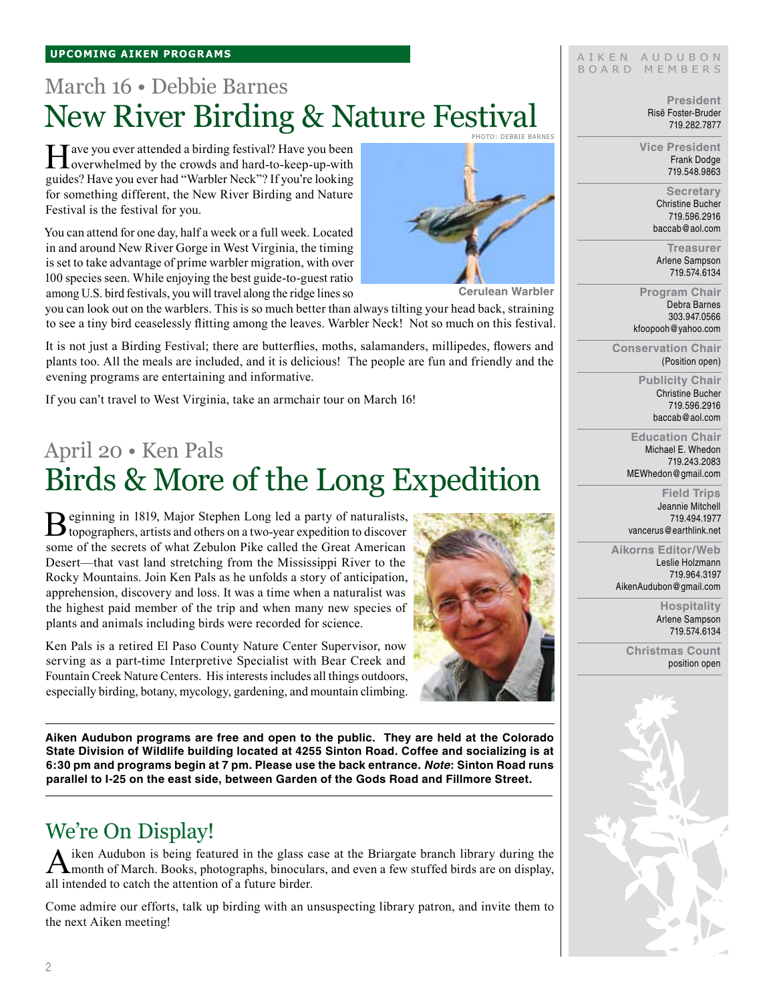### March 16 • Debbie Barnes New River Birding & Nature Festival Photo: debbie barnes

Have you ever attended a birding festival? Have you been<br>overwhelmed by the crowds and hard-to-keep-up-with guides? Have you ever had "Warbler Neck"? If you're looking for something different, the New River Birding and Nature Festival is the festival for you.

You can attend for one day, half a week or a full week. Located in and around New River Gorge in West Virginia, the timing is set to take advantage of prime warbler migration, with over 100 species seen. While enjoying the best guide-to-guest ratio among U.S. bird festivals, you will travel along the ridge lines so



**Cerulean Warbler**

you can look out on the warblers. This is so much better than always tilting your head back, straining to see a tiny bird ceaselessly flitting among the leaves. Warbler Neck! Not so much on this festival.

It is not just a Birding Festival; there are butterflies, moths, salamanders, millipedes, flowers and plants too. All the meals are included, and it is delicious! The people are fun and friendly and the evening programs are entertaining and informative.

If you can't travel to West Virginia, take an armchair tour on March 16!

## April 20 • Ken Pals Birds & More of the Long Expedition

Beginning in 1819, Major Stephen Long led a party of naturalists,<br>topographers, artists and others on a two-year expedition to discover some of the secrets of what Zebulon Pike called the Great American Desert—that vast land stretching from the Mississippi River to the Rocky Mountains. Join Ken Pals as he unfolds a story of anticipation, apprehension, discovery and loss. It was a time when a naturalist was the highest paid member of the trip and when many new species of plants and animals including birds were recorded for science.

Ken Pals is a retired El Paso County Nature Center Supervisor, now



serving as a part-time Interpretive Specialist with Bear Creek and Fountain Creek Nature Centers. His interests includes all things outdoors, especially birding, botany, mycology, gardening, and mountain climbing.

**Aiken Audubon programs are free and open to the public. They are held at the Colorado State Division of Wildlife building located at 4255 Sinton Road. Coffee and socializing is at 6:30 pm and programs begin at 7 pm. Please use the back entrance.** *Note***: Sinton Road runs parallel to I-25 on the east side, between Garden of the Gods Road and Fillmore Street.**

### We're On Display!

A iken Audubon is being featured in the glass case at the Briargate branch library during the month of March. Books, photographs, binoculars, and even a few stuffed birds are on display, all intended to catch the attention of a future birder.

Come admire our efforts, talk up birding with an unsuspecting library patron, and invite them to the next Aiken meeting!

#### AIKEN AUDUBON B O A R D M E M B E R S

**President** Risë Foster-Bruder 719.282.7877

**Vice President** Frank Dodge 719.548.9863

> **Secretary** Christine Bucher 719.596.2916 baccab@aol.com

**Treasurer** Arlene Sampson 719.574.6134

**Program Chair** Debra Barnes 303.947.0566 kfoopooh@yahoo.com

**Conservation Chair** (Position open)

> **Publicity Chair** Christine Bucher 719.596.2916 baccab@aol.com

**Education Chair** Michael E. Whedon 719.243.2083 MEWhedon@gmail.com

**Field Trips** Jeannie Mitchell 719.494.1977 vancerus@earthlink.net

**Aikorns Editor/Web** Leslie Holzmann 719.964.3197 AikenAudubon@gmail.com

> **Hospitality** Arlene Sampson

> > 719.574.6134

**Christmas Count** position open

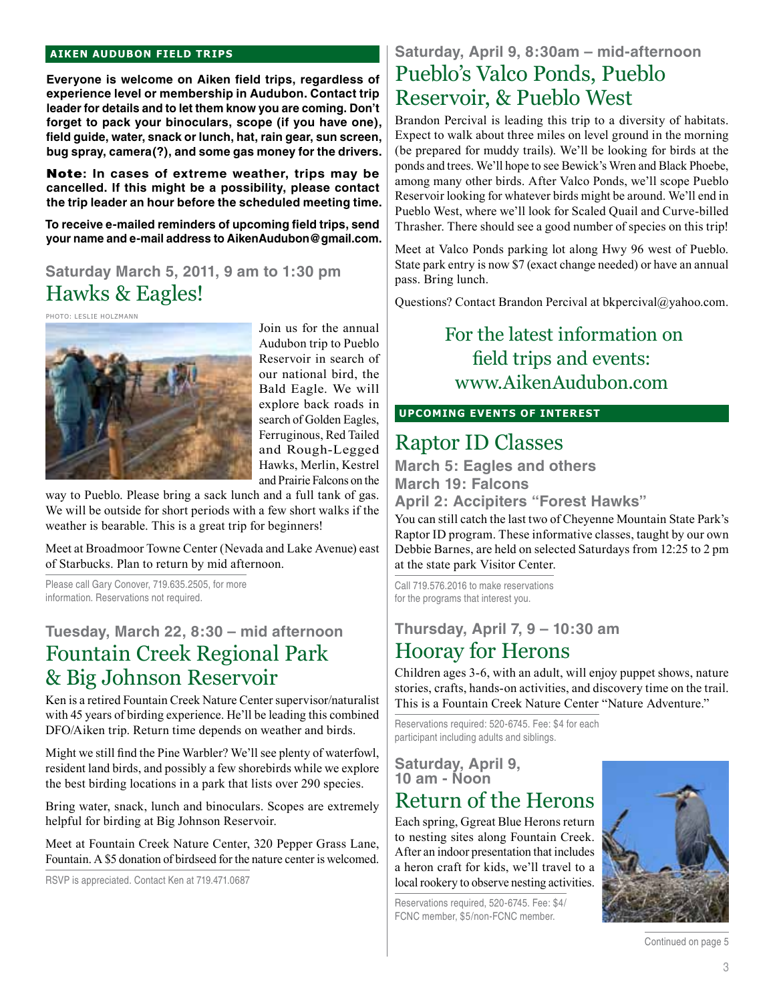#### **aiken audubon FIELD TRIPS**

**Everyone is welcome on Aiken field trips, regardless of experience level or membership in Audubon. Contact trip leader for details and to let them know you are coming. Don't forget to pack your binoculars, scope (if you have one), field guide, water, snack or lunch, hat, rain gear, sun screen, bug spray, camera(?), and some gas money for the drivers.** 

Note**: In cases of extreme weather, trips may be cancelled. If this might be a possibility, please contact the trip leader an hour before the scheduled meeting time.**

**To receive e-mailed reminders of upcoming field trips, send your name and e-mail address to AikenAudubon@gmail.com.**

### **Saturday March 5, 2011, 9 am to 1:30 pm** Hawks & Eagles!

Photo: Leslie Holzmann



Join us for the annual Audubon trip to Pueblo Reservoir in search of our national bird, the Bald Eagle. We will explore back roads in search of Golden Eagles, Ferruginous, Red Tailed and Rough-Legged Hawks, Merlin, Kestrel and Prairie Falcons on the

way to Pueblo. Please bring a sack lunch and a full tank of gas. We will be outside for short periods with a few short walks if the weather is bearable. This is a great trip for beginners!

Meet at Broadmoor Towne Center (Nevada and Lake Avenue) east of Starbucks. Plan to return by mid afternoon.

Please call Gary Conover, 719.635.2505, for more information. Reservations not required.

### **Tuesday, March 22, 8:30 – mid afternoon** Fountain Creek Regional Park & Big Johnson Reservoir

Ken is a retired Fountain Creek Nature Center supervisor/naturalist with 45 years of birding experience. He'll be leading this combined DFO/Aiken trip. Return time depends on weather and birds.

Might we still find the Pine Warbler? We'll see plenty of waterfowl, resident land birds, and possibly a few shorebirds while we explore the best birding locations in a park that lists over 290 species.

Bring water, snack, lunch and binoculars. Scopes are extremely helpful for birding at Big Johnson Reservoir.

Meet at Fountain Creek Nature Center, 320 Pepper Grass Lane, Fountain. A \$5 donation of birdseed for the nature center is welcomed.

RSVP is appreciated. Contact Ken at 719.471.0687

### **Saturday, April 9, 8:30am – mid-afternoon** Pueblo's Valco Ponds, Pueblo Reservoir, & Pueblo West

Brandon Percival is leading this trip to a diversity of habitats. Expect to walk about three miles on level ground in the morning (be prepared for muddy trails). We'll be looking for birds at the ponds and trees. We'll hope to see Bewick's Wren and Black Phoebe, among many other birds. After Valco Ponds, we'll scope Pueblo Reservoir looking for whatever birds might be around. We'll end in Pueblo West, where we'll look for Scaled Quail and Curve-billed Thrasher. There should see a good number of species on this trip!

Meet at Valco Ponds parking lot along Hwy 96 west of Pueblo. State park entry is now \$7 (exact change needed) or have an annual pass. Bring lunch.

Questions? Contact Brandon Percival at bkpercival@yahoo.com.

### For the latest information on field trips and events: www.AikenAudubon.com

#### **UPCOMING EVENTS OF INTEREST**

### Raptor ID Classes

**March 5: Eagles and others March 19: Falcons April 2: Accipiters "Forest Hawks"**

You can still catch the last two of Cheyenne Mountain State Park's Raptor ID program. These informative classes, taught by our own Debbie Barnes, are held on selected Saturdays from 12:25 to 2 pm at the state park Visitor Center.

Call 719.576.2016 to make reservations for the programs that interest you.

### **Thursday, April 7, 9 – 10:30 am**

### Hooray for Herons

Children ages 3-6, with an adult, will enjoy puppet shows, nature stories, crafts, hands-on activities, and discovery time on the trail. This is a Fountain Creek Nature Center "Nature Adventure."

Reservations required: 520-6745. Fee: \$4 for each participant including adults and siblings.

**Saturday, April 9, 10 am - Noon** 

### Return of the Herons

Each spring, Ggreat Blue Herons return to nesting sites along Fountain Creek. After an indoor presentation that includes a heron craft for kids, we'll travel to a local rookery to observe nesting activities.

Reservations required, 520-6745. Fee: \$4/ FCNC member, \$5/non-FCNC member.



Continued on page 5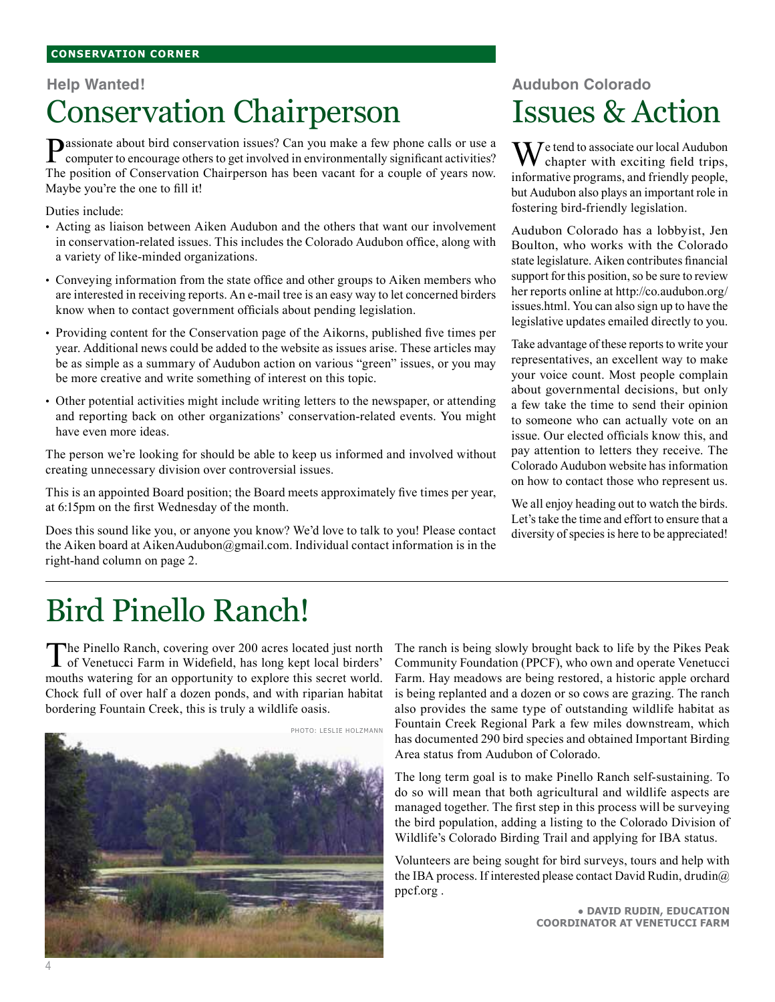#### **Conservation corner**

#### **Help Wanted!**

# Conservation Chairperson

**Passionate about bird conservation issues?** Can you make a few phone calls or use a computer to encourage others to get involved in environmentally significant activities? The position of Conservation Chairperson has been vacant for a couple of years now. Maybe you're the one to fill it!

Duties include:

- Acting as liaison between Aiken Audubon and the others that want our involvement in conservation-related issues. This includes the Colorado Audubon office, along with a variety of like-minded organizations.
- Conveying information from the state office and other groups to Aiken members who are interested in receiving reports. An e-mail tree is an easy way to let concerned birders know when to contact government officials about pending legislation.
- Providing content for the Conservation page of the Aikorns, published five times per year. Additional news could be added to the website as issues arise. These articles may be as simple as a summary of Audubon action on various "green" issues, or you may be more creative and write something of interest on this topic.
- Other potential activities might include writing letters to the newspaper, or attending and reporting back on other organizations' conservation-related events. You might have even more ideas.

The person we're looking for should be able to keep us informed and involved without creating unnecessary division over controversial issues.

This is an appointed Board position; the Board meets approximately five times per year, at 6:15pm on the first Wednesday of the month.

Does this sound like you, or anyone you know? We'd love to talk to you! Please contact the Aiken board at AikenAudubon@gmail.com. Individual contact information is in the right-hand column on page 2.

## **Audubon Colorado** Issues & Action

 $M^{e}$  tend to associate our local Audubon chapter with exciting field trips, informative programs, and friendly people, but Audubon also plays an important role in fostering bird-friendly legislation.

Audubon Colorado has a lobbyist, Jen Boulton, who works with the Colorado state legislature. Aiken contributes financial support for this position, so be sure to review her reports online at http://co.audubon.org/ issues.html. You can also sign up to have the legislative updates emailed directly to you.

Take advantage of these reports to write your representatives, an excellent way to make your voice count. Most people complain about governmental decisions, but only a few take the time to send their opinion to someone who can actually vote on an issue. Our elected officials know this, and pay attention to letters they receive. The Colorado Audubon website has information on how to contact those who represent us.

We all enjoy heading out to watch the birds. Let's take the time and effort to ensure that a diversity of species is here to be appreciated!

# Bird Pinello Ranch!

The Pinello Ranch, covering over 200 acres located just north of Venetucci Farm in Widefield, has long kept local birders' mouths watering for an opportunity to explore this secret world. Chock full of over half a dozen ponds, and with riparian habitat bordering Fountain Creek, this is truly a wildlife oasis.



The ranch is being slowly brought back to life by the Pikes Peak Community Foundation (PPCF), who own and operate Venetucci Farm. Hay meadows are being restored, a historic apple orchard is being replanted and a dozen or so cows are grazing. The ranch also provides the same type of outstanding wildlife habitat as Fountain Creek Regional Park a few miles downstream, which has documented 290 bird species and obtained Important Birding Area status from Audubon of Colorado.

The long term goal is to make Pinello Ranch self-sustaining. To do so will mean that both agricultural and wildlife aspects are managed together. The first step in this process will be surveying the bird population, adding a listing to the Colorado Division of Wildlife's Colorado Birding Trail and applying for IBA status.

Volunteers are being sought for bird surveys, tours and help with the IBA process. If interested please contact David Rudin, drudin@ ppcf.org .

> ● **David Rudin, Education Coordinator at Venetucci Farm**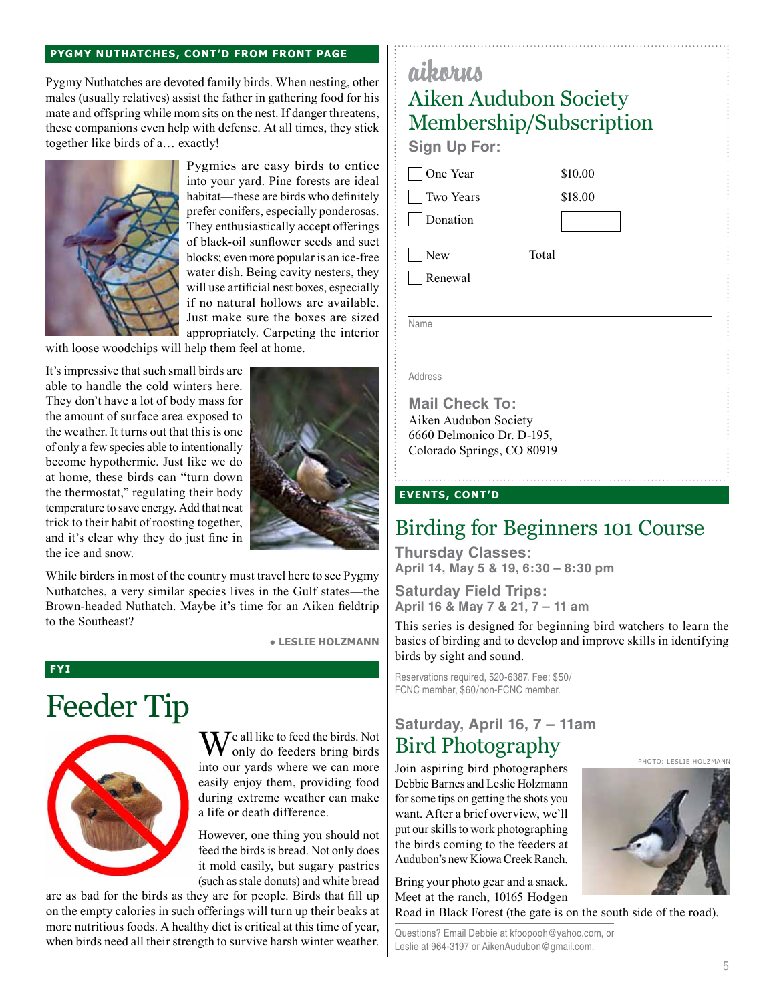#### **Pygmy Nuthatches, cont'd from front page**

Pygmy Nuthatches are devoted family birds. When nesting, other males (usually relatives) assist the father in gathering food for his mate and offspring while mom sits on the nest. If danger threatens, these companions even help with defense. At all times, they stick together like birds of a… exactly!



Pygmies are easy birds to entice into your yard. Pine forests are ideal habitat—these are birds who definitely prefer conifers, especially ponderosas. They enthusiastically accept offerings of black-oil sunflower seeds and suet blocks; even more popular is an ice-free water dish. Being cavity nesters, they will use artificial nest boxes, especially if no natural hollows are available. Just make sure the boxes are sized appropriately. Carpeting the interior

with loose woodchips will help them feel at home.

It's impressive that such small birds are able to handle the cold winters here. They don't have a lot of body mass for the amount of surface area exposed to the weather. It turns out that this is one of only a few species able to intentionally become hypothermic. Just like we do at home, these birds can "turn down the thermostat," regulating their body temperature to save energy. Add that neat trick to their habit of roosting together, and it's clear why they do just fine in the ice and snow.



While birders in most of the country must travel here to see Pygmy Nuthatches, a very similar species lives in the Gulf states—the Brown-headed Nuthatch. Maybe it's time for an Aiken fieldtrip to the Southeast?

● **Leslie Holzmann**

#### **FYI**

# Feeder Tip



We all like to feed the birds. Not Bird Photography only do feeders bring birds into our yards where we can more easily enjoy them, providing food during extreme weather can make a life or death difference.

However, one thing you should not feed the birds is bread. Not only does it mold easily, but sugary pastries (such as stale donuts) and white bread

are as bad for the birds as they are for people. Birds that fill up on the empty calories in such offerings will turn up their beaks at more nutritious foods. A healthy diet is critical at this time of year, when birds need all their strength to survive harsh winter weather.

### aikorus Aiken Audubon Society Membership/Subscription

**Sign Up For:**

One Year

 Two Years **Donation** 

**New** 

Renewal

Total

\$10.00 \$18.00

Name

#### Address

**Mail Check To:** Aiken Audubon Society 6660 Delmonico Dr. D-195, Colorado Springs, CO 80919

#### **events, cont'd**

### Birding for Beginners 101 Course

**Thursday Classes: April 14, May 5 & 19, 6:30 – 8:30 pm**

**Saturday Field Trips: April 16 & May 7 & 21, 7 – 11 am**

This series is designed for beginning bird watchers to learn the basics of birding and to develop and improve skills in identifying birds by sight and sound.

Reservations required, 520-6387. Fee: \$50/ FCNC member, \$60/non-FCNC member.

### **Saturday, April 16, 7 – 11am** Bird Photography

Join aspiring bird photographers Debbie Barnes and Leslie Holzmann for some tips on getting the shots you want. After a brief overview, we'll put our skills to work photographing the birds coming to the feeders at Audubon's new Kiowa Creek Ranch.

Bring your photo gear and a snack. Meet at the ranch, 10165 Hodgen

Road in Black Forest (the gate is on the south side of the road).

Questions? Email Debbie at kfoopooh@yahoo.com, or Leslie at 964-3197 or AikenAudubon@gmail.com.